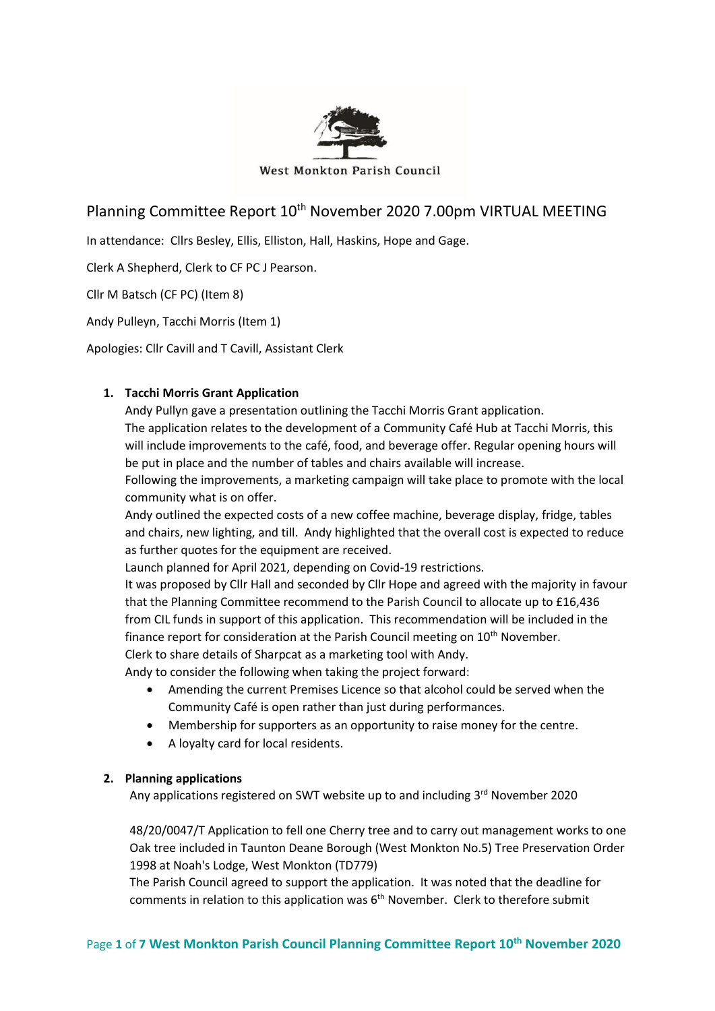

West Monkton Parish Council

# Planning Committee Report 10<sup>th</sup> November 2020 7.00pm VIRTUAL MEETING

In attendance: Cllrs Besley, Ellis, Elliston, Hall, Haskins, Hope and Gage.

Clerk A Shepherd, Clerk to CF PC J Pearson.

Cllr M Batsch (CF PC) (Item 8)

Andy Pulleyn, Tacchi Morris (Item 1)

Apologies: Cllr Cavill and T Cavill, Assistant Clerk

# **1. Tacchi Morris Grant Application**

Andy Pullyn gave a presentation outlining the Tacchi Morris Grant application. The application relates to the development of a Community Café Hub at Tacchi Morris, this will include improvements to the café, food, and beverage offer. Regular opening hours will be put in place and the number of tables and chairs available will increase.

Following the improvements, a marketing campaign will take place to promote with the local community what is on offer.

Andy outlined the expected costs of a new coffee machine, beverage display, fridge, tables and chairs, new lighting, and till. Andy highlighted that the overall cost is expected to reduce as further quotes for the equipment are received.

Launch planned for April 2021, depending on Covid-19 restrictions.

It was proposed by Cllr Hall and seconded by Cllr Hope and agreed with the majority in favour that the Planning Committee recommend to the Parish Council to allocate up to £16,436 from CIL funds in support of this application. This recommendation will be included in the finance report for consideration at the Parish Council meeting on 10<sup>th</sup> November.

Clerk to share details of Sharpcat as a marketing tool with Andy.

Andy to consider the following when taking the project forward:

- Amending the current Premises Licence so that alcohol could be served when the Community Café is open rather than just during performances.
- Membership for supporters as an opportunity to raise money for the centre.
- A loyalty card for local residents.

#### **2. Planning applications**

Any applications registered on SWT website up to and including 3<sup>rd</sup> November 2020

48/20/0047/T Application to fell one Cherry tree and to carry out management works to one Oak tree included in Taunton Deane Borough (West Monkton No.5) Tree Preservation Order 1998 at Noah's Lodge, West Monkton (TD779)

The Parish Council agreed to support the application. It was noted that the deadline for comments in relation to this application was  $6<sup>th</sup>$  November. Clerk to therefore submit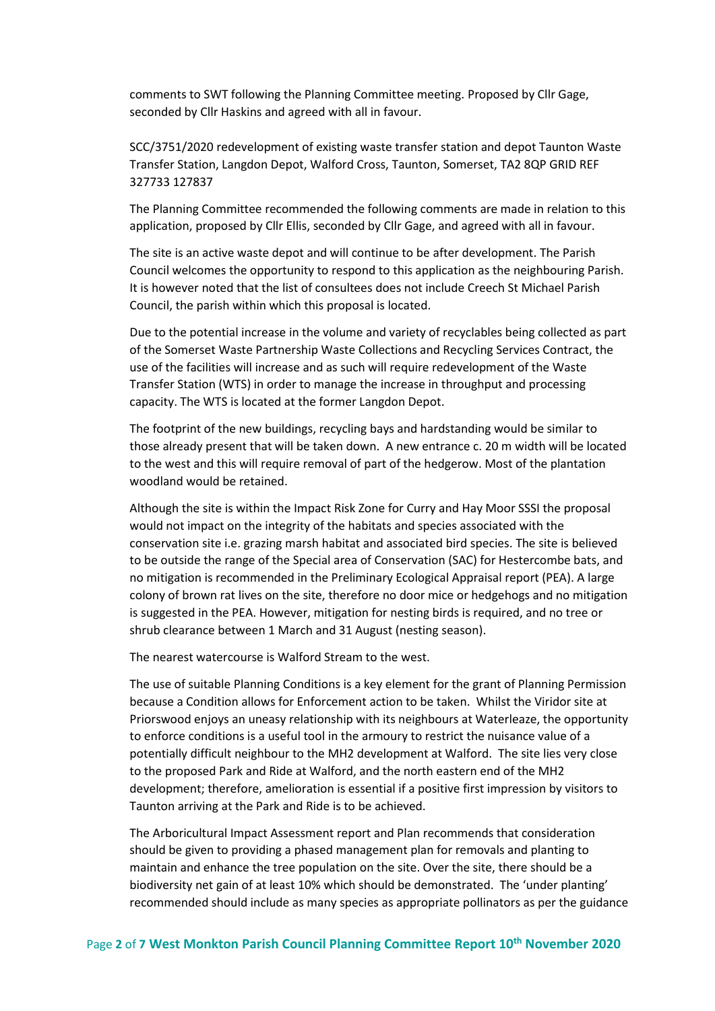comments to SWT following the Planning Committee meeting. Proposed by Cllr Gage, seconded by Cllr Haskins and agreed with all in favour.

SCC/3751/2020 redevelopment of existing waste transfer station and depot Taunton Waste Transfer Station, Langdon Depot, Walford Cross, Taunton, Somerset, TA2 8QP GRID REF 327733 127837

The Planning Committee recommended the following comments are made in relation to this application, proposed by Cllr Ellis, seconded by Cllr Gage, and agreed with all in favour.

The site is an active waste depot and will continue to be after development. The Parish Council welcomes the opportunity to respond to this application as the neighbouring Parish. It is however noted that the list of consultees does not include Creech St Michael Parish Council, the parish within which this proposal is located.

Due to the potential increase in the volume and variety of recyclables being collected as part of the Somerset Waste Partnership Waste Collections and Recycling Services Contract, the use of the facilities will increase and as such will require redevelopment of the Waste Transfer Station (WTS) in order to manage the increase in throughput and processing capacity. The WTS is located at the former Langdon Depot.

The footprint of the new buildings, recycling bays and hardstanding would be similar to those already present that will be taken down. A new entrance c. 20 m width will be located to the west and this will require removal of part of the hedgerow. Most of the plantation woodland would be retained.

Although the site is within the Impact Risk Zone for Curry and Hay Moor SSSI the proposal would not impact on the integrity of the habitats and species associated with the conservation site i.e. grazing marsh habitat and associated bird species. The site is believed to be outside the range of the Special area of Conservation (SAC) for Hestercombe bats, and no mitigation is recommended in the Preliminary Ecological Appraisal report (PEA). A large colony of brown rat lives on the site, therefore no door mice or hedgehogs and no mitigation is suggested in the PEA. However, mitigation for nesting birds is required, and no tree or shrub clearance between 1 March and 31 August (nesting season).

The nearest watercourse is Walford Stream to the west.

The use of suitable Planning Conditions is a key element for the grant of Planning Permission because a Condition allows for Enforcement action to be taken. Whilst the Viridor site at Priorswood enjoys an uneasy relationship with its neighbours at Waterleaze, the opportunity to enforce conditions is a useful tool in the armoury to restrict the nuisance value of a potentially difficult neighbour to the MH2 development at Walford. The site lies very close to the proposed Park and Ride at Walford, and the north eastern end of the MH2 development; therefore, amelioration is essential if a positive first impression by visitors to Taunton arriving at the Park and Ride is to be achieved.

The Arboricultural Impact Assessment report and Plan recommends that consideration should be given to providing a phased management plan for removals and planting to maintain and enhance the tree population on the site. Over the site, there should be a biodiversity net gain of at least 10% which should be demonstrated. The 'under planting' recommended should include as many species as appropriate pollinators as per the guidance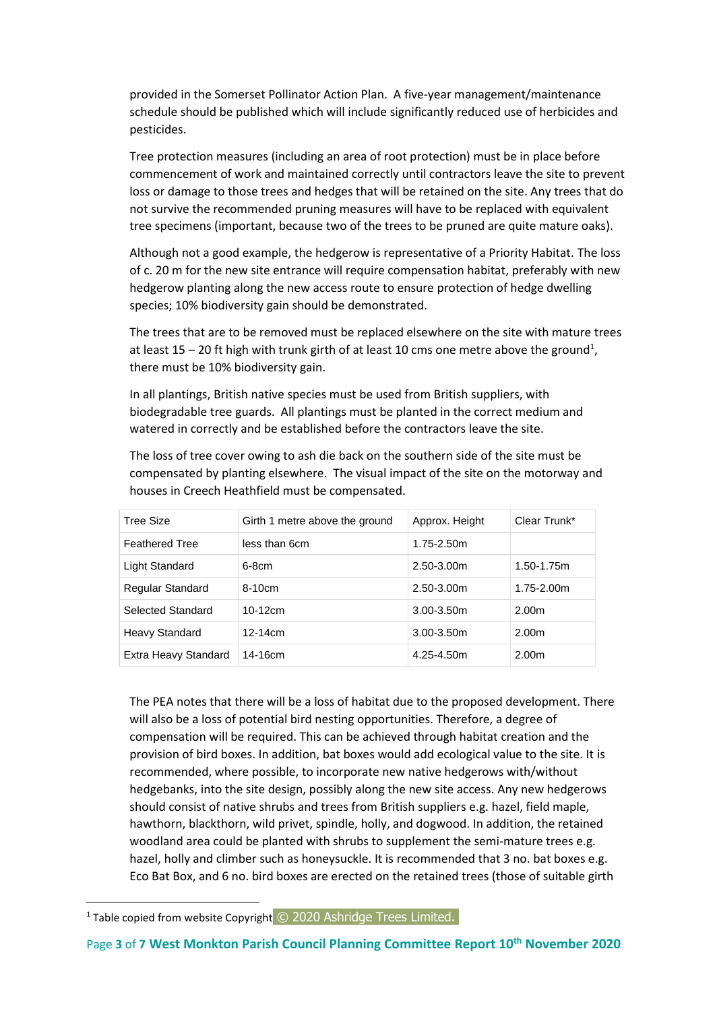provided in the Somerset Pollinator Action Plan. A five-year management/maintenance schedule should be published which will include significantly reduced use of herbicides and pesticides.

Tree protection measures (including an area of root protection) must be in place before commencement of work and maintained correctly until contractors leave the site to prevent loss or damage to those trees and hedges that will be retained on the site. Any trees that do not survive the recommended pruning measures will have to be replaced with equivalent tree specimens (important, because two of the trees to be pruned are quite mature oaks).

Although not a good example, the hedgerow is representative of a Priority Habitat. The loss of c. 20 m for the new site entrance will require compensation habitat, preferably with new hedgerow planting along the new access route to ensure protection of hedge dwelling species; 10% biodiversity gain should be demonstrated.

The trees that are to be removed must be replaced elsewhere on the site with mature trees at least 15 – 20 ft high with trunk girth of at least 10 cms one metre above the ground<sup>1</sup>, there must be 10% biodiversity gain.

In all plantings, British native species must be used from British suppliers, with biodegradable tree guards. All plantings must be planted in the correct medium and watered in correctly and be established before the contractors leave the site.

The loss of tree cover owing to ash die back on the southern side of the site must be compensated by planting elsewhere. The visual impact of the site on the motorway and houses in Creech Heathfield must be compensated.

| Tree Size               | Girth 1 metre above the ground | Approx. Height  | Clear Trunk*      |
|-------------------------|--------------------------------|-----------------|-------------------|
| <b>Feathered Tree</b>   | less than 6cm                  | 1.75-2.50m      |                   |
| Light Standard          | $6-8cm$                        | 2.50-3.00m      | 1.50-1.75m        |
| <b>Regular Standard</b> | $8-10cm$                       | $2.50 - 3.00$ m | $1.75 - 2.00m$    |
| Selected Standard       | $10-12cm$                      | $3.00 - 3.50$ m | 2.00 <sub>m</sub> |
| <b>Heavy Standard</b>   | $12 - 14$ cm                   | $3.00 - 3.50$ m | 2.00m             |
| Extra Heavy Standard    | 14-16cm                        | 4.25-4.50m      | 2.00 <sub>m</sub> |

The PEA notes that there will be a loss of habitat due to the proposed development. There will also be a loss of potential bird nesting opportunities. Therefore, a degree of compensation will be required. This can be achieved through habitat creation and the provision of bird boxes. In addition, bat boxes would add ecological value to the site. It is recommended, where possible, to incorporate new native hedgerows with/without hedgebanks, into the site design, possibly along the new site access. Any new hedgerows should consist of native shrubs and trees from British suppliers e.g. hazel, field maple, hawthorn, blackthorn, wild privet, spindle, holly, and dogwood. In addition, the retained woodland area could be planted with shrubs to supplement the semi-mature trees e.g. hazel, holly and climber such as honeysuckle. It is recommended that 3 no. bat boxes e.g. Eco Bat Box, and 6 no. bird boxes are erected on the retained trees (those of suitable girth

<sup>&</sup>lt;sup>1</sup> Table copied from website Copyright  $\odot$  2020 Ashridge Trees Limited.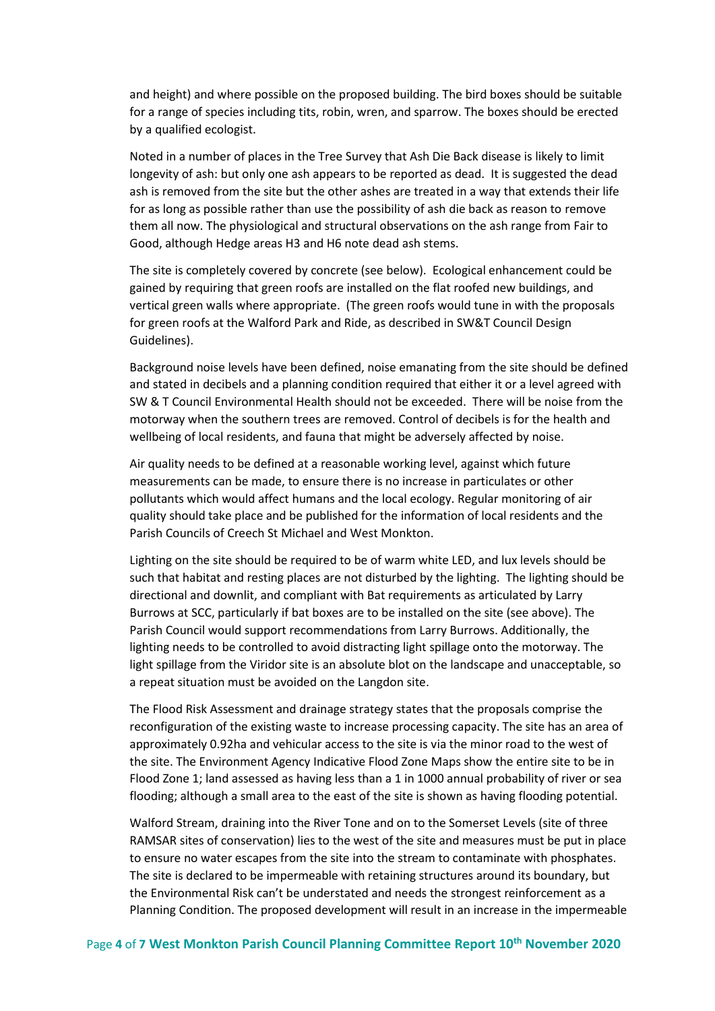and height) and where possible on the proposed building. The bird boxes should be suitable for a range of species including tits, robin, wren, and sparrow. The boxes should be erected by a qualified ecologist.

Noted in a number of places in the Tree Survey that Ash Die Back disease is likely to limit longevity of ash: but only one ash appears to be reported as dead. It is suggested the dead ash is removed from the site but the other ashes are treated in a way that extends their life for as long as possible rather than use the possibility of ash die back as reason to remove them all now. The physiological and structural observations on the ash range from Fair to Good, although Hedge areas H3 and H6 note dead ash stems.

The site is completely covered by concrete (see below). Ecological enhancement could be gained by requiring that green roofs are installed on the flat roofed new buildings, and vertical green walls where appropriate. (The green roofs would tune in with the proposals for green roofs at the Walford Park and Ride, as described in SW&T Council Design Guidelines).

Background noise levels have been defined, noise emanating from the site should be defined and stated in decibels and a planning condition required that either it or a level agreed with SW & T Council Environmental Health should not be exceeded. There will be noise from the motorway when the southern trees are removed. Control of decibels is for the health and wellbeing of local residents, and fauna that might be adversely affected by noise.

Air quality needs to be defined at a reasonable working level, against which future measurements can be made, to ensure there is no increase in particulates or other pollutants which would affect humans and the local ecology. Regular monitoring of air quality should take place and be published for the information of local residents and the Parish Councils of Creech St Michael and West Monkton.

Lighting on the site should be required to be of warm white LED, and lux levels should be such that habitat and resting places are not disturbed by the lighting. The lighting should be directional and downlit, and compliant with Bat requirements as articulated by Larry Burrows at SCC, particularly if bat boxes are to be installed on the site (see above). The Parish Council would support recommendations from Larry Burrows. Additionally, the lighting needs to be controlled to avoid distracting light spillage onto the motorway. The light spillage from the Viridor site is an absolute blot on the landscape and unacceptable, so a repeat situation must be avoided on the Langdon site.

The Flood Risk Assessment and drainage strategy states that the proposals comprise the reconfiguration of the existing waste to increase processing capacity. The site has an area of approximately 0.92ha and vehicular access to the site is via the minor road to the west of the site. The Environment Agency Indicative Flood Zone Maps show the entire site to be in Flood Zone 1; land assessed as having less than a 1 in 1000 annual probability of river or sea flooding; although a small area to the east of the site is shown as having flooding potential.

Walford Stream, draining into the River Tone and on to the Somerset Levels (site of three RAMSAR sites of conservation) lies to the west of the site and measures must be put in place to ensure no water escapes from the site into the stream to contaminate with phosphates. The site is declared to be impermeable with retaining structures around its boundary, but the Environmental Risk can't be understated and needs the strongest reinforcement as a Planning Condition. The proposed development will result in an increase in the impermeable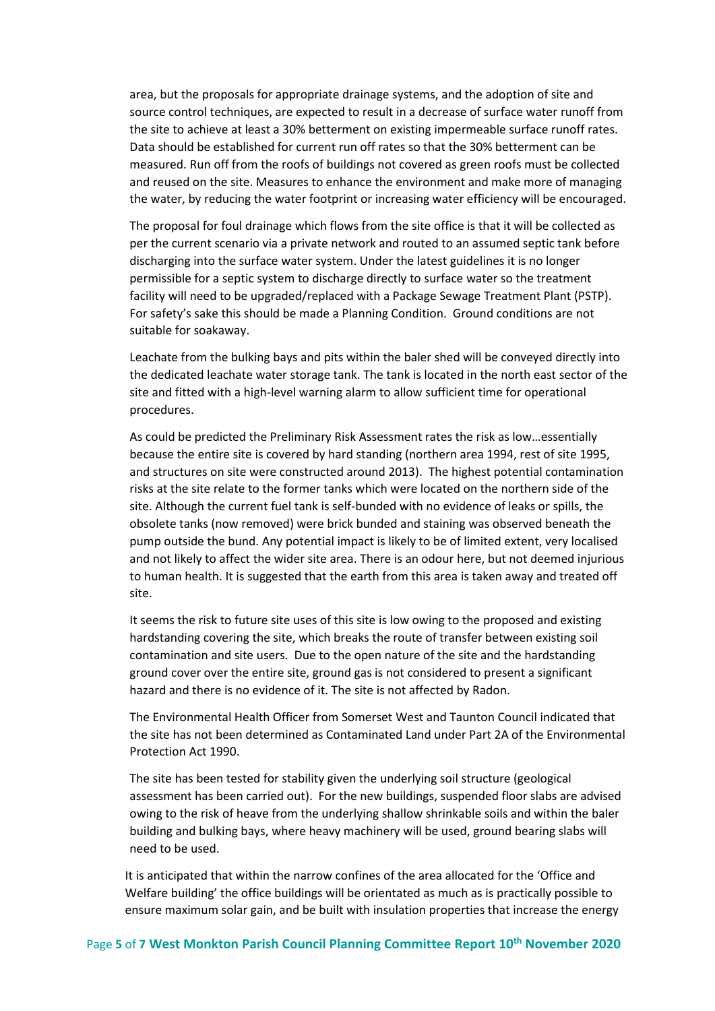area, but the proposals for appropriate drainage systems, and the adoption of site and source control techniques, are expected to result in a decrease of surface water runoff from the site to achieve at least a 30% betterment on existing impermeable surface runoff rates. Data should be established for current run off rates so that the 30% betterment can be measured. Run off from the roofs of buildings not covered as green roofs must be collected and reused on the site. Measures to enhance the environment and make more of managing the water, by reducing the water footprint or increasing water efficiency will be encouraged.

The proposal for foul drainage which flows from the site office is that it will be collected as per the current scenario via a private network and routed to an assumed septic tank before discharging into the surface water system. Under the latest guidelines it is no longer permissible for a septic system to discharge directly to surface water so the treatment facility will need to be upgraded/replaced with a Package Sewage Treatment Plant (PSTP). For safety's sake this should be made a Planning Condition. Ground conditions are not suitable for soakaway.

Leachate from the bulking bays and pits within the baler shed will be conveyed directly into the dedicated leachate water storage tank. The tank is located in the north east sector of the site and fitted with a high-level warning alarm to allow sufficient time for operational procedures.

As could be predicted the Preliminary Risk Assessment rates the risk as low…essentially because the entire site is covered by hard standing (northern area 1994, rest of site 1995, and structures on site were constructed around 2013). The highest potential contamination risks at the site relate to the former tanks which were located on the northern side of the site. Although the current fuel tank is self-bunded with no evidence of leaks or spills, the obsolete tanks (now removed) were brick bunded and staining was observed beneath the pump outside the bund. Any potential impact is likely to be of limited extent, very localised and not likely to affect the wider site area. There is an odour here, but not deemed injurious to human health. It is suggested that the earth from this area is taken away and treated off site.

It seems the risk to future site uses of this site is low owing to the proposed and existing hardstanding covering the site, which breaks the route of transfer between existing soil contamination and site users. Due to the open nature of the site and the hardstanding ground cover over the entire site, ground gas is not considered to present a significant hazard and there is no evidence of it. The site is not affected by Radon.

The Environmental Health Officer from Somerset West and Taunton Council indicated that the site has not been determined as Contaminated Land under Part 2A of the Environmental Protection Act 1990.

The site has been tested for stability given the underlying soil structure (geological assessment has been carried out). For the new buildings, suspended floor slabs are advised owing to the risk of heave from the underlying shallow shrinkable soils and within the baler building and bulking bays, where heavy machinery will be used, ground bearing slabs will need to be used.

It is anticipated that within the narrow confines of the area allocated for the 'Office and Welfare building' the office buildings will be orientated as much as is practically possible to ensure maximum solar gain, and be built with insulation properties that increase the energy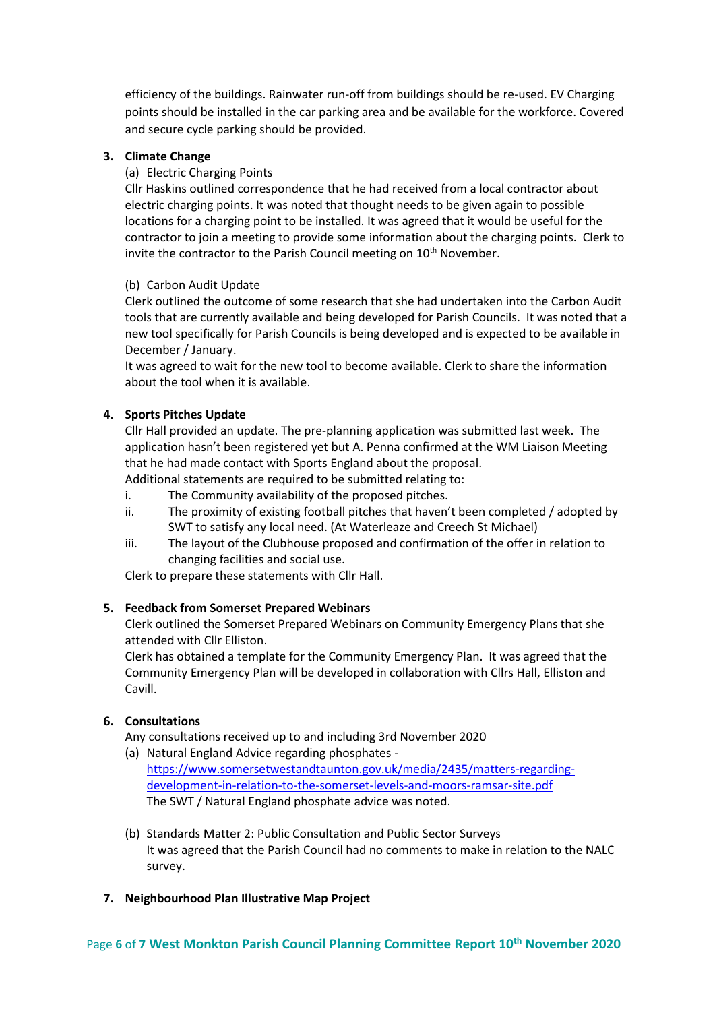efficiency of the buildings. Rainwater run-off from buildings should be re-used. EV Charging points should be installed in the car parking area and be available for the workforce. Covered and secure cycle parking should be provided.

## **3. Climate Change**

## (a) Electric Charging Points

Cllr Haskins outlined correspondence that he had received from a local contractor about electric charging points. It was noted that thought needs to be given again to possible locations for a charging point to be installed. It was agreed that it would be useful for the contractor to join a meeting to provide some information about the charging points. Clerk to invite the contractor to the Parish Council meeting on 10<sup>th</sup> November.

# (b) Carbon Audit Update

Clerk outlined the outcome of some research that she had undertaken into the Carbon Audit tools that are currently available and being developed for Parish Councils. It was noted that a new tool specifically for Parish Councils is being developed and is expected to be available in December / January.

It was agreed to wait for the new tool to become available. Clerk to share the information about the tool when it is available.

# **4. Sports Pitches Update**

Cllr Hall provided an update. The pre-planning application was submitted last week. The application hasn't been registered yet but A. Penna confirmed at the WM Liaison Meeting that he had made contact with Sports England about the proposal. Additional statements are required to be submitted relating to:

i. The Community availability of the proposed pitches.

- ii. The proximity of existing football pitches that haven't been completed / adopted by SWT to satisfy any local need. (At Waterleaze and Creech St Michael)
- iii. The layout of the Clubhouse proposed and confirmation of the offer in relation to changing facilities and social use.

Clerk to prepare these statements with Cllr Hall.

#### **5. Feedback from Somerset Prepared Webinars**

Clerk outlined the Somerset Prepared Webinars on Community Emergency Plans that she attended with Cllr Elliston.

Clerk has obtained a template for the Community Emergency Plan. It was agreed that the Community Emergency Plan will be developed in collaboration with Cllrs Hall, Elliston and Cavill.

#### **6. Consultations**

Any consultations received up to and including 3rd November 2020

- (a) Natural England Advice regarding phosphates [https://www.somersetwestandtaunton.gov.uk/media/2435/matters-regarding](https://www.somersetwestandtaunton.gov.uk/media/2435/matters-regarding-development-in-relation-to-the-somerset-levels-and-moors-ramsar-site.pdf)[development-in-relation-to-the-somerset-levels-and-moors-ramsar-site.pdf](https://www.somersetwestandtaunton.gov.uk/media/2435/matters-regarding-development-in-relation-to-the-somerset-levels-and-moors-ramsar-site.pdf)  The SWT / Natural England phosphate advice was noted.
- (b) Standards Matter 2: Public Consultation and Public Sector Surveys It was agreed that the Parish Council had no comments to make in relation to the NALC survey.
- **7. Neighbourhood Plan Illustrative Map Project**